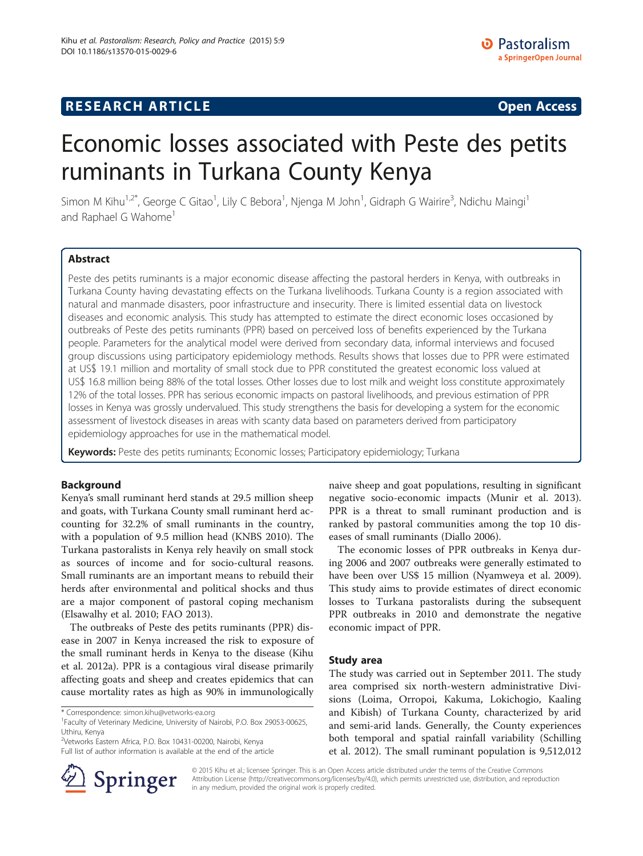# Economic losses associated with Peste des petits ruminants in Turkana County Kenya

Simon M Kihu<sup>1,2\*</sup>, George C Gitao<sup>1</sup>, Lily C Bebora<sup>1</sup>, Njenga M John<sup>1</sup>, Gidraph G Wairire<sup>3</sup>, Ndichu Maingi<sup>1</sup> and Raphael G Wahome<sup>1</sup>

# Abstract

Peste des petits ruminants is a major economic disease affecting the pastoral herders in Kenya, with outbreaks in Turkana County having devastating effects on the Turkana livelihoods. Turkana County is a region associated with natural and manmade disasters, poor infrastructure and insecurity. There is limited essential data on livestock diseases and economic analysis. This study has attempted to estimate the direct economic loses occasioned by outbreaks of Peste des petits ruminants (PPR) based on perceived loss of benefits experienced by the Turkana people. Parameters for the analytical model were derived from secondary data, informal interviews and focused group discussions using participatory epidemiology methods. Results shows that losses due to PPR were estimated at US\$ 19.1 million and mortality of small stock due to PPR constituted the greatest economic loss valued at US\$ 16.8 million being 88% of the total losses. Other losses due to lost milk and weight loss constitute approximately 12% of the total losses. PPR has serious economic impacts on pastoral livelihoods, and previous estimation of PPR losses in Kenya was grossly undervalued. This study strengthens the basis for developing a system for the economic assessment of livestock diseases in areas with scanty data based on parameters derived from participatory epidemiology approaches for use in the mathematical model.

Keywords: Peste des petits ruminants; Economic losses; Participatory epidemiology; Turkana

# Background

Kenya's small ruminant herd stands at 29.5 million sheep and goats, with Turkana County small ruminant herd accounting for 32.2% of small ruminants in the country, with a population of 9.5 million head (KNBS [2010\)](#page-7-0). The Turkana pastoralists in Kenya rely heavily on small stock as sources of income and for socio-cultural reasons. Small ruminants are an important means to rebuild their herds after environmental and political shocks and thus are a major component of pastoral coping mechanism (Elsawalhy et al. [2010;](#page-7-0) FAO [2013\)](#page-7-0).

The outbreaks of Peste des petits ruminants (PPR) disease in 2007 in Kenya increased the risk to exposure of the small ruminant herds in Kenya to the disease (Kihu et al. [2012a\)](#page-7-0). PPR is a contagious viral disease primarily affecting goats and sheep and creates epidemics that can cause mortality rates as high as 90% in immunologically

Full list of author information is available at the end of the article



naive sheep and goat populations, resulting in significant negative socio-economic impacts (Munir et al. [2013](#page-7-0)). PPR is a threat to small ruminant production and is ranked by pastoral communities among the top 10 diseases of small ruminants (Diallo [2006\)](#page-7-0).

The economic losses of PPR outbreaks in Kenya during 2006 and 2007 outbreaks were generally estimated to have been over US\$ 15 million (Nyamweya et al. [2009](#page-7-0)). This study aims to provide estimates of direct economic losses to Turkana pastoralists during the subsequent PPR outbreaks in 2010 and demonstrate the negative economic impact of PPR.

## Study area

The study was carried out in September 2011. The study area comprised six north-western administrative Divisions (Loima, Orropoi, Kakuma, Lokichogio, Kaaling and Kibish) of Turkana County, characterized by arid and semi-arid lands. Generally, the County experiences both temporal and spatial rainfall variability (Schilling et al. [2012\)](#page-7-0). The small ruminant population is 9,512,012

© 2015 Kihu et al.; licensee Springer. This is an Open Access article distributed under the terms of the Creative Commons Attribution License [\(http://creativecommons.org/licenses/by/4.0\)](http://creativecommons.org/licenses/by/4.0), which permits unrestricted use, distribution, and reproduction in any medium, provided the original work is properly credited.

<sup>\*</sup> Correspondence: [simon.kihu@vetworks-ea.org](mailto:simon.kihu@vetworks-ea.org) <sup>1</sup>

<sup>&</sup>lt;sup>1</sup> Faculty of Veterinary Medicine, University of Nairobi, P.O. Box 29053-00625, Uthiru, Kenya

<sup>2</sup> Vetworks Eastern Africa, P.O. Box 10431-00200, Nairobi, Kenya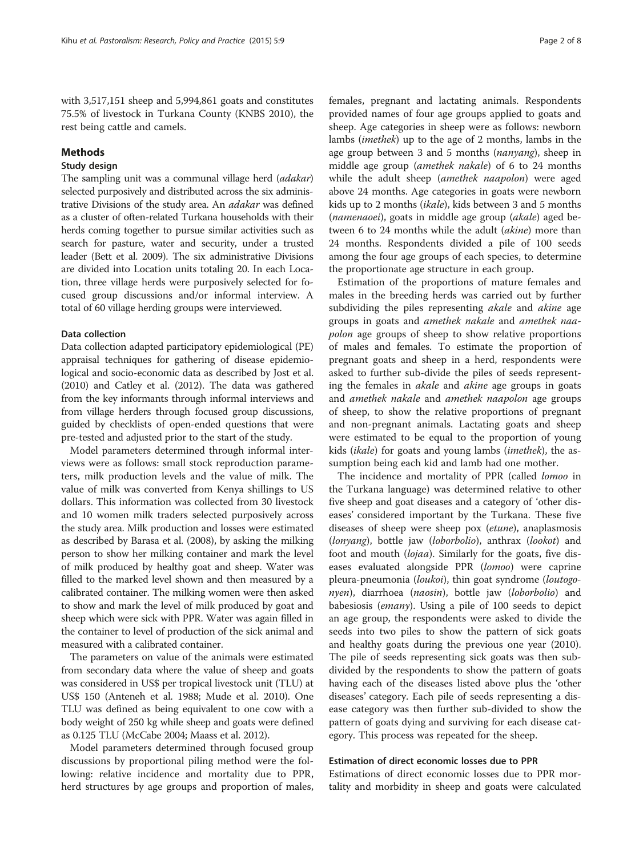with 3,517,151 sheep and 5,994,861 goats and constitutes 75.5% of livestock in Turkana County (KNBS [2010\)](#page-7-0), the rest being cattle and camels.

## Methods

## Study design

The sampling unit was a communal village herd (*adakar*) selected purposively and distributed across the six administrative Divisions of the study area. An adakar was defined as a cluster of often-related Turkana households with their herds coming together to pursue similar activities such as search for pasture, water and security, under a trusted leader (Bett et al. [2009\)](#page-7-0). The six administrative Divisions are divided into Location units totaling 20. In each Location, three village herds were purposively selected for focused group discussions and/or informal interview. A total of 60 village herding groups were interviewed.

## Data collection

Data collection adapted participatory epidemiological (PE) appraisal techniques for gathering of disease epidemiological and socio-economic data as described by Jost et al. ([2010](#page-7-0)) and Catley et al. [\(2012](#page-7-0)). The data was gathered from the key informants through informal interviews and from village herders through focused group discussions, guided by checklists of open-ended questions that were pre-tested and adjusted prior to the start of the study.

Model parameters determined through informal interviews were as follows: small stock reproduction parameters, milk production levels and the value of milk. The value of milk was converted from Kenya shillings to US dollars. This information was collected from 30 livestock and 10 women milk traders selected purposively across the study area. Milk production and losses were estimated as described by Barasa et al. [\(2008](#page-7-0)), by asking the milking person to show her milking container and mark the level of milk produced by healthy goat and sheep. Water was filled to the marked level shown and then measured by a calibrated container. The milking women were then asked to show and mark the level of milk produced by goat and sheep which were sick with PPR. Water was again filled in the container to level of production of the sick animal and measured with a calibrated container.

The parameters on value of the animals were estimated from secondary data where the value of sheep and goats was considered in US\$ per tropical livestock unit (TLU) at US\$ 150 (Anteneh et al. [1988;](#page-6-0) Mude et al. [2010\)](#page-7-0). One TLU was defined as being equivalent to one cow with a body weight of 250 kg while sheep and goats were defined as 0.125 TLU (McCabe [2004](#page-7-0); Maass et al. [2012\)](#page-7-0).

Model parameters determined through focused group discussions by proportional piling method were the following: relative incidence and mortality due to PPR, herd structures by age groups and proportion of males,

females, pregnant and lactating animals. Respondents provided names of four age groups applied to goats and sheep. Age categories in sheep were as follows: newborn lambs (imethek) up to the age of 2 months, lambs in the age group between 3 and 5 months (nanyang), sheep in middle age group (amethek nakale) of 6 to 24 months while the adult sheep (amethek naapolon) were aged above 24 months. Age categories in goats were newborn kids up to 2 months (ikale), kids between 3 and 5 months (namenaoei), goats in middle age group (akale) aged between 6 to 24 months while the adult (akine) more than 24 months. Respondents divided a pile of 100 seeds among the four age groups of each species, to determine the proportionate age structure in each group.

Estimation of the proportions of mature females and males in the breeding herds was carried out by further subdividing the piles representing akale and akine age groups in goats and amethek nakale and amethek naapolon age groups of sheep to show relative proportions of males and females. To estimate the proportion of pregnant goats and sheep in a herd, respondents were asked to further sub-divide the piles of seeds representing the females in akale and akine age groups in goats and amethek nakale and amethek naapolon age groups of sheep, to show the relative proportions of pregnant and non-pregnant animals. Lactating goats and sheep were estimated to be equal to the proportion of young kids (ikale) for goats and young lambs (imethek), the assumption being each kid and lamb had one mother.

The incidence and mortality of PPR (called lomoo in the Turkana language) was determined relative to other five sheep and goat diseases and a category of 'other diseases' considered important by the Turkana. These five diseases of sheep were sheep pox (etune), anaplasmosis (lonyang), bottle jaw (loborbolio), anthrax (lookot) and foot and mouth (lojaa). Similarly for the goats, five diseases evaluated alongside PPR (lomoo) were caprine pleura-pneumonia (loukoi), thin goat syndrome (loutogonyen), diarrhoea (naosin), bottle jaw (loborbolio) and babesiosis (emany). Using a pile of 100 seeds to depict an age group, the respondents were asked to divide the seeds into two piles to show the pattern of sick goats and healthy goats during the previous one year (2010). The pile of seeds representing sick goats was then subdivided by the respondents to show the pattern of goats having each of the diseases listed above plus the 'other diseases' category. Each pile of seeds representing a disease category was then further sub-divided to show the pattern of goats dying and surviving for each disease category. This process was repeated for the sheep.

#### Estimation of direct economic losses due to PPR

Estimations of direct economic losses due to PPR mortality and morbidity in sheep and goats were calculated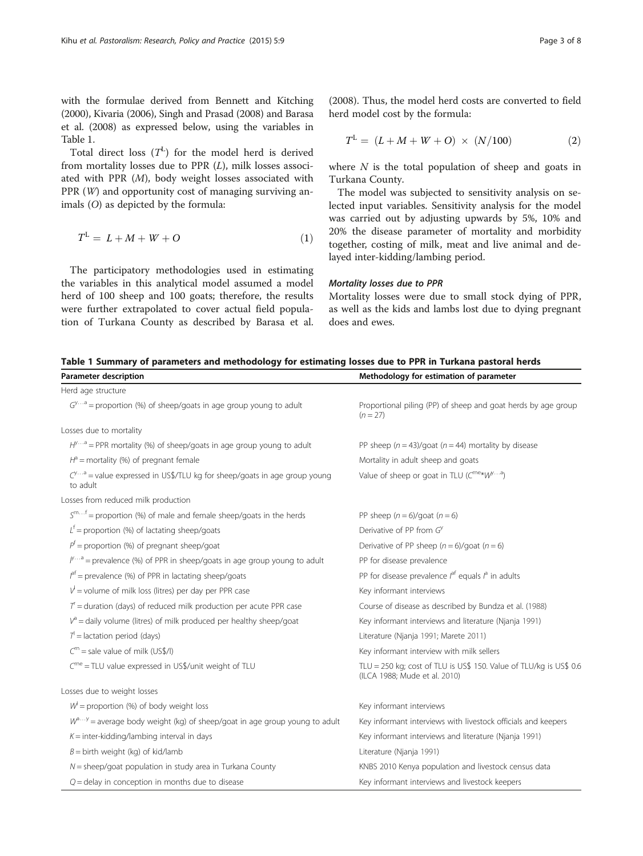with the formulae derived from Bennett and Kitching ([2000](#page-7-0)), Kivaria [\(2006\)](#page-7-0), Singh and Prasad [\(2008](#page-7-0)) and Barasa et al. ([2008\)](#page-7-0) as expressed below, using the variables in Table 1.

Total direct loss  $(T^L)$  for the model herd is derived from mortality losses due to PPR (L), milk losses associated with PPR (M), body weight losses associated with PPR (W) and opportunity cost of managing surviving animals (O) as depicted by the formula:

$$
T^{\mathcal{L}} = L + M + W + O \tag{1}
$$

The participatory methodologies used in estimating the variables in this analytical model assumed a model herd of 100 sheep and 100 goats; therefore, the results were further extrapolated to cover actual field population of Turkana County as described by Barasa et al. ([2008\)](#page-7-0). Thus, the model herd costs are converted to field herd model cost by the formula:

$$
T^{L} = (L + M + W + O) \times (N/100)
$$
 (2)

where  $N$  is the total population of sheep and goats in Turkana County.

The model was subjected to sensitivity analysis on selected input variables. Sensitivity analysis for the model was carried out by adjusting upwards by 5%, 10% and 20% the disease parameter of mortality and morbidity together, costing of milk, meat and live animal and delayed inter-kidding/lambing period.

#### Mortality losses due to PPR

Mortality losses were due to small stock dying of PPR, as well as the kids and lambs lost due to dying pregnant does and ewes.

Table 1 Summary of parameters and methodology for estimating losses due to PPR in Turkana pastoral herds

| Parameter description                                                                    | Methodology for estimation of parameter                                                             |  |  |
|------------------------------------------------------------------------------------------|-----------------------------------------------------------------------------------------------------|--|--|
| Herd age structure                                                                       |                                                                                                     |  |  |
| $G^{ya}$ = proportion (%) of sheep/goats in age group young to adult                     | Proportional piling (PP) of sheep and goat herds by age group<br>$(n = 27)$                         |  |  |
| Losses due to mortality                                                                  |                                                                                                     |  |  |
| $H^{ya}$ = PPR mortality (%) of sheep/goats in age group young to adult                  | PP sheep $(n = 43)/$ goat $(n = 44)$ mortality by disease                                           |  |  |
| $H^a$ = mortality (%) of pregnant female                                                 | Mortality in adult sheep and goats                                                                  |  |  |
| $C^{ya}$ = value expressed in US\$/TLU kg for sheep/goats in age group young<br>to adult | Value of sheep or goat in TLU ( $C^{me*}W^{ya}$ )                                                   |  |  |
| Losses from reduced milk production                                                      |                                                                                                     |  |  |
| $S^{mf}$ = proportion (%) of male and female sheep/goats in the herds                    | PP sheep $(n=6)/$ goat $(n=6)$                                                                      |  |  |
| $L^f$ = proportion (%) of lactating sheep/goats                                          | Derivative of PP from G                                                                             |  |  |
| $P^{\dagger}$ = proportion (%) of pregnant sheep/goat                                    | Derivative of PP sheep $(n = 6)/$ goat $(n = 6)$                                                    |  |  |
| $l^{\text{va}}$ = prevalence (%) of PPR in sheep/goats in age group young to adult       | PP for disease prevalence                                                                           |  |  |
| $Iaf$ = prevalence (%) of PPR in lactating sheep/goats                                   | PP for disease prevalence $f^{af}$ equals $f^a$ in adults                                           |  |  |
| $V =$ volume of milk loss (litres) per day per PPR case                                  | Key informant interviews                                                                            |  |  |
| $T$ = duration (days) of reduced milk production per acute PPR case                      | Course of disease as described by Bundza et al. (1988)                                              |  |  |
| $V^a$ = daily volume (litres) of milk produced per healthy sheep/goat                    | Key informant interviews and literature (Njanja 1991)                                               |  |  |
| $T$ = lactation period (days)                                                            | Literature (Njanja 1991; Marete 2011)                                                               |  |  |
| $Cm$ = sale value of milk (US\$/I)                                                       | Key informant interview with milk sellers                                                           |  |  |
| $Cme = TLU value expressed in US$/unit weight of TLU$                                    | TLU = 250 kg; cost of TLU is US\$ 150. Value of TLU/kg is US\$ 0.6<br>(ILCA 1988; Mude et al. 2010) |  |  |
| Losses due to weight losses                                                              |                                                                                                     |  |  |
| $W'$ = proportion (%) of body weight loss                                                | Key informant interviews                                                                            |  |  |
| $W^{ay}$ = average body weight (kg) of sheep/goat in age group young to adult            | Key informant interviews with livestock officials and keepers                                       |  |  |
| $K =$ inter-kidding/lambing interval in days                                             | Key informant interviews and literature (Njanja 1991)                                               |  |  |
| $B =$ birth weight (kg) of kid/lamb                                                      | Literature (Njanja 1991)                                                                            |  |  |
| $N =$ sheep/goat population in study area in Turkana County                              | KNBS 2010 Kenya population and livestock census data                                                |  |  |
| $Q =$ delay in conception in months due to disease                                       | Key informant interviews and livestock keepers                                                      |  |  |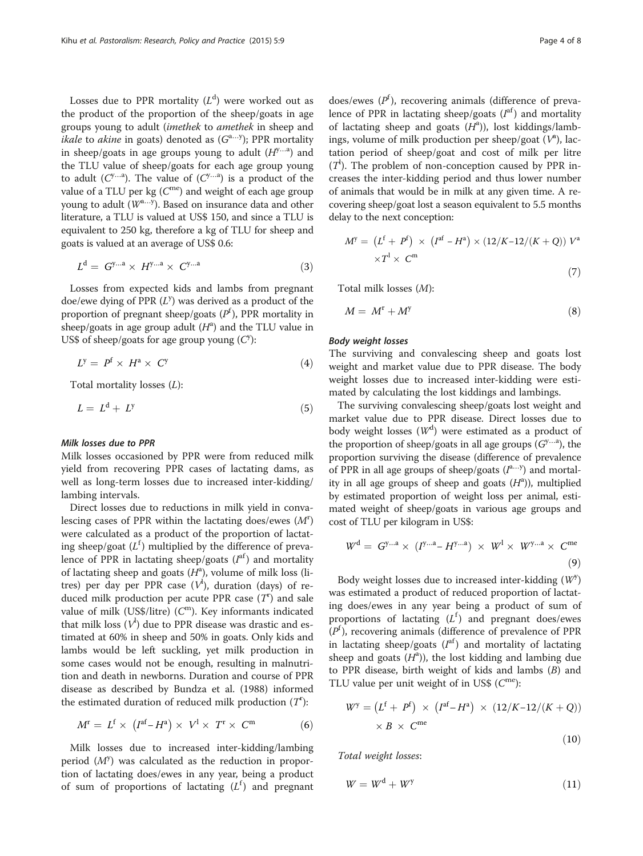Losses due to PPR mortality  $(L^d)$  were worked out as the product of the proportion of the sheep/goats in age groups young to adult (imethek to amethek in sheep and ikale to akine in goats) denoted as  $(G^{a...y})$ ; PPR mortality in sheep/goats in age groups young to adult  $(H^{y...a})$  and the TLU value of sheep/goats for each age group young to adult  $(C^{y...a})$ . The value of  $(C^{y...a})$  is a product of the value of a TLU per kg  $(C<sup>me</sup>)$  and weight of each age group young to adult  $(W^{a...y})$ . Based on insurance data and other literature, a TLU is valued at US\$ 150, and since a TLU is equivalent to 250 kg, therefore a kg of TLU for sheep and goats is valued at an average of US\$ 0.6:

$$
L^d = G^{\gamma \dots a} \times H^{\gamma \dots a} \times C^{\gamma \dots a} \tag{3}
$$

Losses from expected kids and lambs from pregnant doe/ewe dying of PPR  $(L^y)$  was derived as a product of the proportion of pregnant sheep/goats  $(P^{f})$ , PPR mortality in sheep/goats in age group adult  $(H^a)$  and the TLU value in US\$ of sheep/goats for age group young  $(C^y)$ :

$$
L^{\mathrm{y}} = P^{\mathrm{f}} \times H^{\mathrm{a}} \times C^{\mathrm{y}} \tag{4}
$$

Total mortality losses (L):

$$
L = L^d + L^y \tag{5}
$$

#### Milk losses due to PPR

Milk losses occasioned by PPR were from reduced milk yield from recovering PPR cases of lactating dams, as well as long-term losses due to increased inter-kidding/ lambing intervals.

Direct losses due to reductions in milk yield in convalescing cases of PPR within the lactating does/ewes  $(M<sup>r</sup>)$ were calculated as a product of the proportion of lactating sheep/goat  $(L^{\text{f}})$  multiplied by the difference of prevalence of PPR in lactating sheep/goats  $(I<sup>af</sup>)$  and mortality of lactating sheep and goats  $(H^a)$ , volume of milk loss (litres) per day per PPR case  $(V<sup>d</sup>)$ , duration (days) of reduced milk production per acute PPR case  $(T<sup>r</sup>)$  and sale value of milk (US\$/litre)  $(C<sup>m</sup>)$ . Key informants indicated that milk loss  $(V^{\!1}\!)$  due to PPR disease was drastic and estimated at 60% in sheep and 50% in goats. Only kids and lambs would be left suckling, yet milk production in some cases would not be enough, resulting in malnutrition and death in newborns. Duration and course of PPR disease as described by Bundza et al. ([1988](#page-7-0)) informed the estimated duration of reduced milk production  $(T<sup>r</sup>)$ :

$$
M^{\rm r} = L^{\rm f} \times \left(I^{\rm af} - H^{\rm a}\right) \times V^{\rm l} \times T^{\rm r} \times C^{\rm m} \tag{6}
$$

Milk losses due to increased inter-kidding/lambing period  $(M<sup>y</sup>)$  was calculated as the reduction in proportion of lactating does/ewes in any year, being a product of sum of proportions of lactating  $(L^f)$  and pregnant

does/ewes  $(P^{f})$ , recovering animals (difference of prevalence of PPR in lactating sheep/goats  $(I<sup>af</sup>)$  and mortality of lactating sheep and goats  $(H<sup>a</sup>)$ ), lost kiddings/lambings, volume of milk production per sheep/goat  $(V^{\mathsf{a}})$ , lactation period of sheep/goat and cost of milk per litre  $(T<sup>1</sup>)$ . The problem of non-conception caused by PPR increases the inter-kidding period and thus lower number of animals that would be in milk at any given time. A recovering sheep/goat lost a season equivalent to 5.5 months delay to the next conception:

$$
M^{\rm y} = (L^{\rm f} + P^{\rm f}) \times (I^{\rm af} - H^{\rm a}) \times (12/K - 12/(K + Q)) V^{\rm a}
$$
  
 
$$
\times T^{\rm l} \times C^{\rm m}
$$
 (7)

Total milk losses (M):

$$
M = M^{\rm r} + M^{\rm y} \tag{8}
$$

#### Body weight losses

The surviving and convalescing sheep and goats lost weight and market value due to PPR disease. The body weight losses due to increased inter-kidding were estimated by calculating the lost kiddings and lambings.

The surviving convalescing sheep/goats lost weight and market value due to PPR disease. Direct losses due to body weight losses  $(W<sup>d</sup>)$  were estimated as a product of the proportion of sheep/goats in all age groups  $(G^{y...a})$ , the proportion surviving the disease (difference of prevalence of PPR in all age groups of sheep/goats  $(I^{a...y})$  and mortality in all age groups of sheep and goats  $(H<sup>a</sup>)$ ), multiplied by estimated proportion of weight loss per animal, estimated weight of sheep/goats in various age groups and cost of TLU per kilogram in US\$:

$$
Wd = Gy...a \times (Iy...a - Hy...a) \times W1 \times Wy...a \times Cme
$$
\n(9)

Body weight losses due to increased inter-kidding  $(W^{\gamma})$ was estimated a product of reduced proportion of lactating does/ewes in any year being a product of sum of proportions of lactating  $(L^f)$  and pregnant does/ewes  $(P<sup>f</sup>)$ , recovering animals (difference of prevalence of PPR in lactating sheep/goats  $(I<sup>af</sup>)$  and mortality of lactating sheep and goats  $(H<sup>a</sup>)$ ), the lost kidding and lambing due to PPR disease, birth weight of kids and lambs  $(B)$  and TLU value per unit weight of in US\$  $(C<sup>me</sup>)$ :

$$
W^{\rm y} = (L^{\rm f} + P^{\rm f}) \times (I^{\rm af} - H^{\rm a}) \times (12/K - 12/(K + Q))
$$
  
 
$$
\times B \times C^{\rm me}
$$
 (10)

Total weight losses:

$$
W = Wd + Wy
$$
 (11)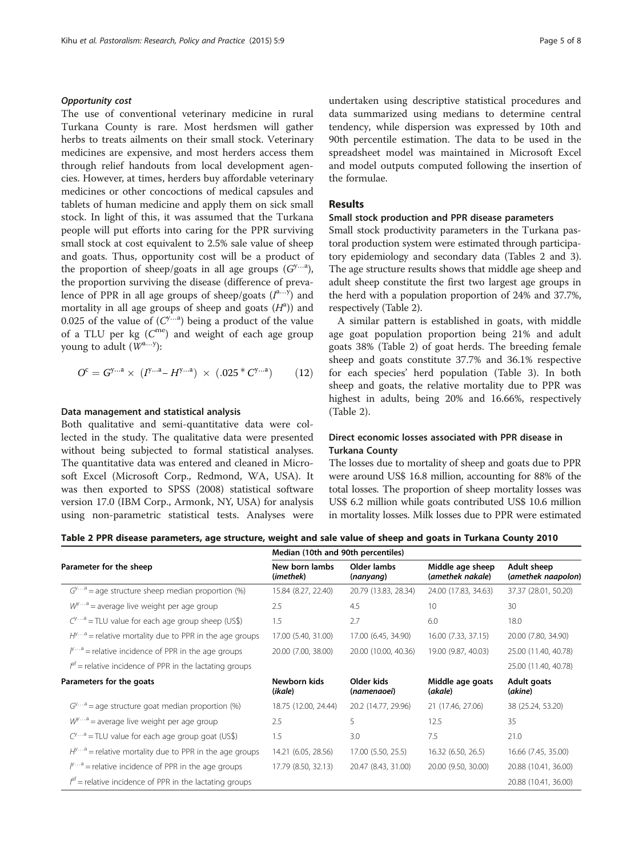#### <span id="page-4-0"></span>Opportunity cost

The use of conventional veterinary medicine in rural Turkana County is rare. Most herdsmen will gather herbs to treats ailments on their small stock. Veterinary medicines are expensive, and most herders access them through relief handouts from local development agencies. However, at times, herders buy affordable veterinary medicines or other concoctions of medical capsules and tablets of human medicine and apply them on sick small stock. In light of this, it was assumed that the Turkana people will put efforts into caring for the PPR surviving small stock at cost equivalent to 2.5% sale value of sheep and goats. Thus, opportunity cost will be a product of the proportion of sheep/goats in all age groups  $(G^{y...a})$ , the proportion surviving the disease (difference of prevalence of PPR in all age groups of sheep/goats  $(I^{a...y})$  and mortality in all age groups of sheep and goats  $(H<sup>a</sup>)$ ) and 0.025 of the value of  $(C^{y...a})$  being a product of the value of a TLU per kg  $(C<sup>me</sup>)$  and weight of each age group young to adult  $(W^{a...y})$ :

$$
O^{c} = G^{y...a} \times (I^{y...a} - H^{y...a}) \times (0.025 * C^{y...a}) \qquad (12)
$$

## Data management and statistical analysis

Both qualitative and semi-quantitative data were collected in the study. The qualitative data were presented without being subjected to formal statistical analyses. The quantitative data was entered and cleaned in Microsoft Excel (Microsoft Corp., Redmond, WA, USA). It was then exported to SPSS (2008) statistical software version 17.0 (IBM Corp., Armonk, NY, USA) for analysis using non-parametric statistical tests. Analyses were

undertaken using descriptive statistical procedures and data summarized using medians to determine central tendency, while dispersion was expressed by 10th and 90th percentile estimation. The data to be used in the spreadsheet model was maintained in Microsoft Excel and model outputs computed following the insertion of the formulae.

## Results

## Small stock production and PPR disease parameters

Small stock productivity parameters in the Turkana pastoral production system were estimated through participatory epidemiology and secondary data (Tables 2 and [3](#page-5-0)). The age structure results shows that middle age sheep and adult sheep constitute the first two largest age groups in the herd with a population proportion of 24% and 37.7%, respectively (Table 2).

A similar pattern is established in goats, with middle age goat population proportion being 21% and adult goats 38% (Table 2) of goat herds. The breeding female sheep and goats constitute 37.7% and 36.1% respective for each species' herd population (Table [3\)](#page-5-0). In both sheep and goats, the relative mortality due to PPR was highest in adults, being 20% and 16.66%, respectively (Table 2).

## Direct economic losses associated with PPR disease in Turkana County

The losses due to mortality of sheep and goats due to PPR were around US\$ 16.8 million, accounting for 88% of the total losses. The proportion of sheep mortality losses was US\$ 6.2 million while goats contributed US\$ 10.6 million in mortality losses. Milk losses due to PPR were estimated

Table 2 PPR disease parameters, age structure, weight and sale value of sheep and goats in Turkana County 2010

|                                                                     | Median (10th and 90th percentiles) |                           |                                      |                                          |
|---------------------------------------------------------------------|------------------------------------|---------------------------|--------------------------------------|------------------------------------------|
| Parameter for the sheep                                             | New born lambs<br>(imethek)        | Older lambs<br>(nanyang)  | Middle age sheep<br>(amethek nakale) | <b>Adult sheep</b><br>(amethek naapolon) |
| $G^{ya}$ = age structure sheep median proportion (%)                | 15.84 (8.27, 22.40)                | 20.79 (13.83, 28.34)      | 24.00 (17.83, 34.63)                 | 37.37 (28.01, 50.20)                     |
| $W^{\vee}$ = average live weight per age group                      | 2.5                                | 4.5                       | 10                                   | 30                                       |
| $C^{ya}$ = TLU value for each age group sheep (US\$)                | 1.5                                | 2.7                       | 6.0                                  | 18.0                                     |
| $H^{ya}$ = relative mortality due to PPR in the age groups          | 17.00 (5.40, 31.00)                | 17.00 (6.45, 34.90)       | 16.00 (7.33, 37.15)                  | 20.00 (7.80, 34.90)                      |
| $l^{\text{va}}$ = relative incidence of PPR in the age groups       | 20.00 (7.00, 38.00)                | 20.00 (10.00, 40.36)      | 19.00 (9.87, 40.03)                  | 25.00 (11.40, 40.78)                     |
| $Iat$ = relative incidence of PPR in the lactating groups           |                                    |                           |                                      | 25.00 (11.40, 40.78)                     |
| Parameters for the goats                                            | Newborn kids<br>(ikale)            | Older kids<br>(namenaoei) | Middle age goats<br>(akale)          | Adult goats<br>(akine)                   |
| $G^{ya}$ = age structure goat median proportion (%)                 | 18.75 (12.00, 24.44)               | 20.2 (14.77, 29.96)       | 21 (17.46, 27.06)                    | 38 (25.24, 53.20)                        |
| $W^{ya}$ = average live weight per age group                        | 2.5                                | 5                         | 12.5                                 | 35                                       |
| $C^{ya}$ = TLU value for each age group goat (US\$)                 | 1.5                                | 3.0                       | 7.5                                  | 21.0                                     |
| $H^{ya}$ = relative mortality due to PPR in the age groups          | 14.21 (6.05, 28.56)                | 17.00 (5.50, 25.5)        | 16.32 (6.50, 26.5)                   | 16.66 (7.45, 35.00)                      |
| $f^{\prime \ldots a}$ = relative incidence of PPR in the age groups | 17.79 (8.50, 32.13)                | 20.47 (8.43, 31.00)       | 20.00 (9.50, 30.00)                  | 20.88 (10.41, 36.00)                     |
| $Iat$ = relative incidence of PPR in the lactating groups           |                                    |                           |                                      | 20.88 (10.41, 36.00)                     |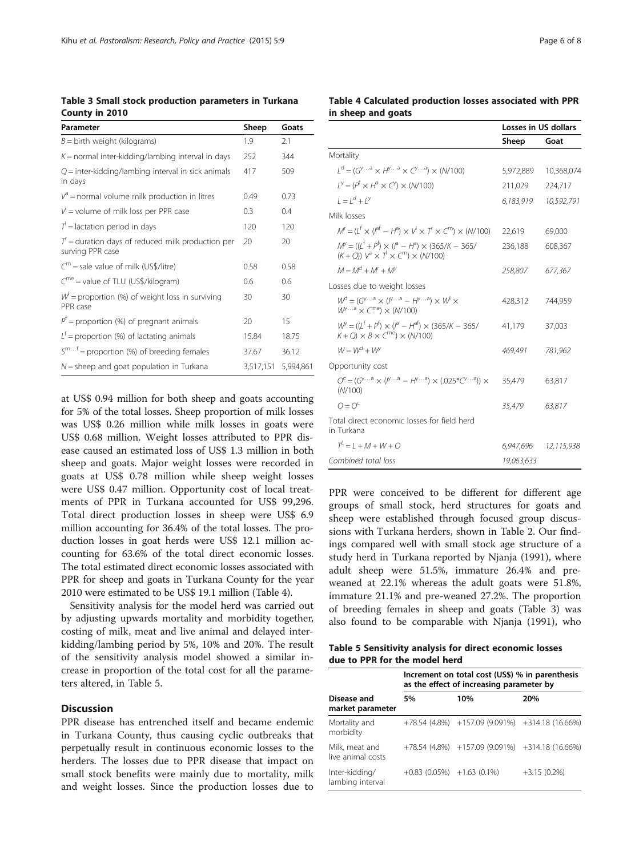<span id="page-5-0"></span>Table 3 Small stock production parameters in Turkana County in 2010

| Parameter                                                               | Sheep     | Goats     |
|-------------------------------------------------------------------------|-----------|-----------|
| $B =$ birth weight (kilograms)                                          | 1.9       | 2.1       |
| $K =$ normal inter-kidding/lambing interval in days                     | 252       | 344       |
| $Q$ = inter-kidding/lambing interval in sick animals<br>in days         | 417       | 509       |
| $V^a$ = normal volume milk production in litres                         | 0.49      | 0.73      |
| $V =$ volume of milk loss per PPR case                                  | 0.3       | 0.4       |
| $T =$ lactation period in days                                          | 120       | 120       |
| $T'$ = duration days of reduced milk production per<br>surving PPR case | 20        | 20        |
| $Cm$ = sale value of milk (US\$/litre)                                  | 0.58      | 0.58      |
| $C^{me}$ = value of TLU (US\$/kilogram)                                 | 0.6       | 0.6       |
| $W'$ = proportion (%) of weight loss in surviving<br>PPR case           | 30        | 30        |
| $P^f$ = proportion (%) of pregnant animals                              | 20        | 15        |
| $L^f$ = proportion (%) of lactating animals                             | 15.84     | 18.75     |
| $S^{mf}$ = proportion (%) of breeding females                           | 37.67     | 36.12     |
| $N =$ sheep and goat population in Turkana                              | 3,517,151 | 5,994,861 |

at US\$ 0.94 million for both sheep and goats accounting for 5% of the total losses. Sheep proportion of milk losses was US\$ 0.26 million while milk losses in goats were US\$ 0.68 million. Weight losses attributed to PPR disease caused an estimated loss of US\$ 1.3 million in both sheep and goats. Major weight losses were recorded in goats at US\$ 0.78 million while sheep weight losses were US\$ 0.47 million. Opportunity cost of local treatments of PPR in Turkana accounted for US\$ 99,296. Total direct production losses in sheep were US\$ 6.9 million accounting for 36.4% of the total losses. The production losses in goat herds were US\$ 12.1 million accounting for 63.6% of the total direct economic losses. The total estimated direct economic losses associated with PPR for sheep and goats in Turkana County for the year 2010 were estimated to be US\$ 19.1 million (Table 4).

Sensitivity analysis for the model herd was carried out by adjusting upwards mortality and morbidity together, costing of milk, meat and live animal and delayed interkidding/lambing period by 5%, 10% and 20%. The result of the sensitivity analysis model showed a similar increase in proportion of the total cost for all the parameters altered, in Table 5.

## **Discussion**

PPR disease has entrenched itself and became endemic in Turkana County, thus causing cyclic outbreaks that perpetually result in continuous economic losses to the herders. The losses due to PPR disease that impact on small stock benefits were mainly due to mortality, milk and weight losses. Since the production losses due to

#### Table 4 Calculated production losses associated with PPR in sheep and goats

|                                                                                                                             | <b>Losses in US dollars</b> |            |
|-----------------------------------------------------------------------------------------------------------------------------|-----------------------------|------------|
|                                                                                                                             | Sheep                       | Goat       |
| Mortality                                                                                                                   |                             |            |
| $L^{d} = (G^{ya} \times H^{ya} \times C^{ya}) \times (N/100)$                                                               | 5,972,889                   | 10,368,074 |
| $L^{\gamma} = (P^{\dagger} \times H^{\alpha} \times C^{\gamma}) \times (N/100)$                                             | 211,029                     | 224,717    |
| $1 = l^d + l^y$                                                                                                             | 6,183,919                   | 10,592,791 |
| Milk losses                                                                                                                 |                             |            |
| $M^r = (L^f \times (l^{af} - H^a) \times V^l \times T^r \times C^m) \times (N/100)$                                         | 22,619                      | 69,000     |
| $M^y = ((L^f + P^f) \times (P^a - H^a) \times (365/K - 365/R))$<br>$(K+Q)$ ) $V^a \times T^1 \times C^m$ ) $\times (N/100)$ | 236,188                     | 608,367    |
| $M = Md + M' + My$                                                                                                          | 258,807                     | 677,367    |
| Losses due to weight losses                                                                                                 |                             |            |
| $W^d = (G^{ya} \times (l^{ya} - H^{ya}) \times W^l \times$<br>$W^{ya} \times C^{me} \times (N/100)$                         | 428,312                     | 744,959    |
| $W^y = ((L^f + P^f) \times (P^a - H^{af}) \times (365/K - 365/R))$<br>$K + Q$ ) $\times B \times C^{me}$ ) $\times (N/100)$ | 41,179                      | 37,003     |
| $W = W^{d} + W^{d}$                                                                                                         | 469.491                     | 781,962    |
| Opportunity cost                                                                                                            |                             |            |
| $O^{c} = (G^{ya} \times (V^{a} - H^{ya}) \times (0.025^{*}C^{ya})) \times$<br>(N/100)                                       | 35,479                      | 63,817     |
| $Q = Q^c$                                                                                                                   | 35,479                      | 63,817     |
| Total direct economic losses for field herd<br>in Turkana                                                                   |                             |            |
| $T^{L} = I + M + W + O$                                                                                                     | 6,947,696                   | 12,115,938 |
| Combined total loss                                                                                                         | 19,063,633                  |            |

PPR were conceived to be different for different age groups of small stock, herd structures for goats and sheep were established through focused group discussions with Turkana herders, shown in Table [2.](#page-4-0) Our findings compared well with small stock age structure of a study herd in Turkana reported by Njanja ([1991](#page-7-0)), where adult sheep were 51.5%, immature 26.4% and preweaned at 22.1% whereas the adult goats were 51.8%, immature 21.1% and pre-weaned 27.2%. The proportion of breeding females in sheep and goats (Table 3) was also found to be comparable with Njanja [\(1991](#page-7-0)), who

Table 5 Sensitivity analysis for direct economic losses due to PPR for the model herd

|                                     | Increment on total cost (US\$) % in parenthesis<br>as the effect of increasing parameter by |                                                 |                |  |
|-------------------------------------|---------------------------------------------------------------------------------------------|-------------------------------------------------|----------------|--|
| Disease and<br>market parameter     | 5%                                                                                          | 10%                                             | 20%            |  |
| Mortality and<br>morbidity          |                                                                                             | +78.54 (4.8%) +157.09 (9.091%) +314.18 (16.66%) |                |  |
| Milk, meat and<br>live animal costs |                                                                                             | +78.54 (4.8%) +157.09 (9.091%) +314.18 (16.66%) |                |  |
| Inter-kidding/<br>lambing interval  | $+0.83(0.05\%) +1.63(0.1\%)$                                                                |                                                 | $+3.15(0.2\%)$ |  |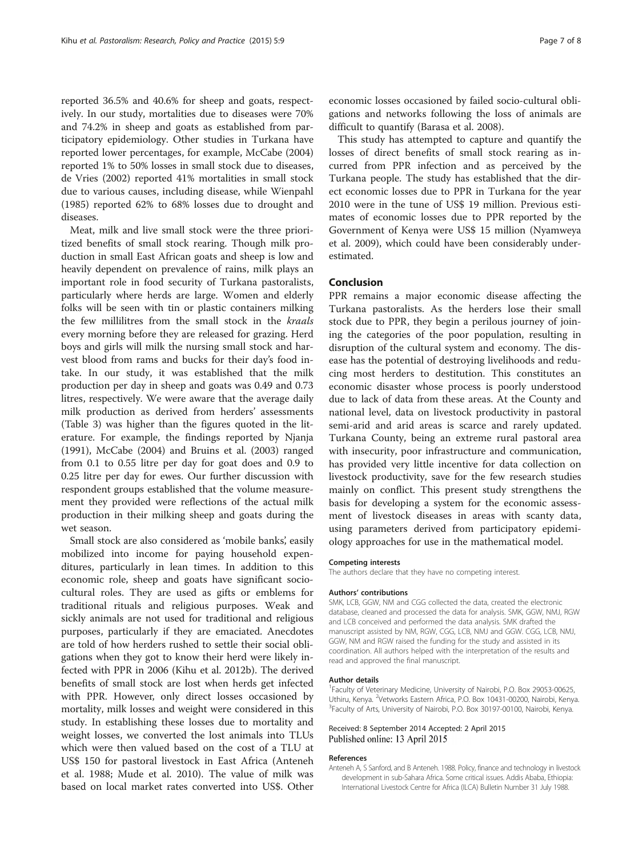<span id="page-6-0"></span>reported 36.5% and 40.6% for sheep and goats, respectively. In our study, mortalities due to diseases were 70% and 74.2% in sheep and goats as established from participatory epidemiology. Other studies in Turkana have reported lower percentages, for example, McCabe ([2004](#page-7-0)) reported 1% to 50% losses in small stock due to diseases, de Vries [\(2002\)](#page-7-0) reported 41% mortalities in small stock due to various causes, including disease, while Wienpahl ([1985](#page-7-0)) reported 62% to 68% losses due to drought and diseases.

Meat, milk and live small stock were the three prioritized benefits of small stock rearing. Though milk production in small East African goats and sheep is low and heavily dependent on prevalence of rains, milk plays an important role in food security of Turkana pastoralists, particularly where herds are large. Women and elderly folks will be seen with tin or plastic containers milking the few millilitres from the small stock in the kraals every morning before they are released for grazing. Herd boys and girls will milk the nursing small stock and harvest blood from rams and bucks for their day's food intake. In our study, it was established that the milk production per day in sheep and goats was 0.49 and 0.73 litres, respectively. We were aware that the average daily milk production as derived from herders' assessments (Table [3\)](#page-5-0) was higher than the figures quoted in the literature. For example, the findings reported by Njanja ([1991](#page-7-0)), McCabe [\(2004](#page-7-0)) and Bruins et al. ([2003](#page-7-0)) ranged from 0.1 to 0.55 litre per day for goat does and 0.9 to 0.25 litre per day for ewes. Our further discussion with respondent groups established that the volume measurement they provided were reflections of the actual milk production in their milking sheep and goats during the wet season.

Small stock are also considered as 'mobile banks', easily mobilized into income for paying household expenditures, particularly in lean times. In addition to this economic role, sheep and goats have significant sociocultural roles. They are used as gifts or emblems for traditional rituals and religious purposes. Weak and sickly animals are not used for traditional and religious purposes, particularly if they are emaciated. Anecdotes are told of how herders rushed to settle their social obligations when they got to know their herd were likely infected with PPR in 2006 (Kihu et al. [2012b\)](#page-7-0). The derived benefits of small stock are lost when herds get infected with PPR. However, only direct losses occasioned by mortality, milk losses and weight were considered in this study. In establishing these losses due to mortality and weight losses, we converted the lost animals into TLUs which were then valued based on the cost of a TLU at US\$ 150 for pastoral livestock in East Africa (Anteneh et al. 1988; Mude et al. [2010](#page-7-0)). The value of milk was based on local market rates converted into US\$. Other

economic losses occasioned by failed socio-cultural obligations and networks following the loss of animals are difficult to quantify (Barasa et al. [2008\)](#page-7-0).

This study has attempted to capture and quantify the losses of direct benefits of small stock rearing as incurred from PPR infection and as perceived by the Turkana people. The study has established that the direct economic losses due to PPR in Turkana for the year 2010 were in the tune of US\$ 19 million. Previous estimates of economic losses due to PPR reported by the Government of Kenya were US\$ 15 million (Nyamweya et al. [2009](#page-7-0)), which could have been considerably underestimated.

## Conclusion

PPR remains a major economic disease affecting the Turkana pastoralists. As the herders lose their small stock due to PPR, they begin a perilous journey of joining the categories of the poor population, resulting in disruption of the cultural system and economy. The disease has the potential of destroying livelihoods and reducing most herders to destitution. This constitutes an economic disaster whose process is poorly understood due to lack of data from these areas. At the County and national level, data on livestock productivity in pastoral semi-arid and arid areas is scarce and rarely updated. Turkana County, being an extreme rural pastoral area with insecurity, poor infrastructure and communication, has provided very little incentive for data collection on livestock productivity, save for the few research studies mainly on conflict. This present study strengthens the basis for developing a system for the economic assessment of livestock diseases in areas with scanty data, using parameters derived from participatory epidemiology approaches for use in the mathematical model.

#### Competing interests

The authors declare that they have no competing interest.

#### Authors' contributions

SMK, LCB, GGW, NM and CGG collected the data, created the electronic database, cleaned and processed the data for analysis. SMK, GGW, NMJ, RGW and LCB conceived and performed the data analysis. SMK drafted the manuscript assisted by NM, RGW, CGG, LCB, NMJ and GGW. CGG, LCB, NMJ, GGW, NM and RGW raised the funding for the study and assisted in its coordination. All authors helped with the interpretation of the results and read and approved the final manuscript.

#### Author details

<sup>1</sup> Faculty of Veterinary Medicine, University of Nairobi, P.O. Box 29053-00625, Uthiru, Kenya. <sup>2</sup>Vetworks Eastern Africa, P.O. Box 10431-00200, Nairobi, Kenya.<br><sup>3</sup>Eaculty of Arts University of Nairobi, P.O. Box 30197-00100. Nairobi, Kenya. <sup>3</sup> Faculty of Arts, University of Nairobi, P.O. Box 30197-00100, Nairobi, Kenya.

#### Received: 8 September 2014 Accepted: 2 April 2015 Published online: 13 April 2015

#### References

Anteneh A, S Sanford, and B Anteneh. 1988. Policy, finance and technology in livestock development in sub-Sahara Africa. Some critical issues. Addis Ababa, Ethiopia: International Livestock Centre for Africa (ILCA) Bulletin Number 31 July 1988.